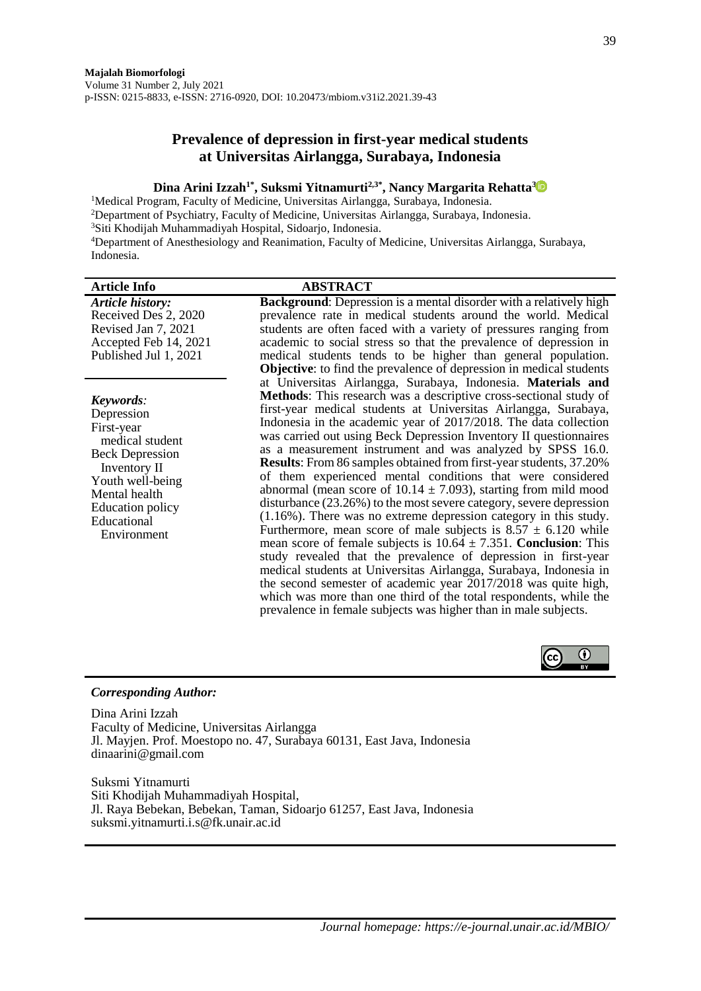# **Prevalence of depression in first-year medical students at Universitas Airlangga, Surabaya, Indonesia**

### **Dina Arini Izzah1\* , Suksmi Yitnamurti2,3\* , Nancy Margarita Rehatta[3](https://orcid.org/0000-0002-0696-8077)**

<sup>1</sup>Medical Program, Faculty of Medicine, Universitas Airlangga, Surabaya, Indonesia. <sup>2</sup>Department of Psychiatry, Faculty of Medicine, Universitas Airlangga, Surabaya, Indonesia. <sup>3</sup>Siti Khodijah Muhammadiyah Hospital, Sidoarjo, Indonesia. <sup>4</sup>Department of Anesthesiology and Reanimation, Faculty of Medicine, Universitas Airlangga, Surabaya, Indonesia.

| <b>Article Info</b>                                                                                                                                                                              | <b>ABSTRACT</b>                                                                                                                                                                                                                                                                                                                                                                                                                                                                                                                                                                                                                                                                                                                                                                                                                                                                                                                                                                                                                                                                                                                                                                                                                                                        |
|--------------------------------------------------------------------------------------------------------------------------------------------------------------------------------------------------|------------------------------------------------------------------------------------------------------------------------------------------------------------------------------------------------------------------------------------------------------------------------------------------------------------------------------------------------------------------------------------------------------------------------------------------------------------------------------------------------------------------------------------------------------------------------------------------------------------------------------------------------------------------------------------------------------------------------------------------------------------------------------------------------------------------------------------------------------------------------------------------------------------------------------------------------------------------------------------------------------------------------------------------------------------------------------------------------------------------------------------------------------------------------------------------------------------------------------------------------------------------------|
| Article history:<br>Received Des 2, 2020<br>Revised Jan 7, 2021<br>Accepted Feb 14, 2021<br>Published Jul 1, 2021                                                                                | <b>Background:</b> Depression is a mental disorder with a relatively high<br>prevalence rate in medical students around the world. Medical<br>students are often faced with a variety of pressures ranging from<br>academic to social stress so that the prevalence of depression in<br>medical students tends to be higher than general population.<br>Objective: to find the prevalence of depression in medical students                                                                                                                                                                                                                                                                                                                                                                                                                                                                                                                                                                                                                                                                                                                                                                                                                                            |
| Keywords:<br>Depression<br>First-year<br>medical student<br><b>Beck Depression</b><br>Inventory II<br>Youth well-being<br>Mental health<br><b>Education policy</b><br>Educational<br>Environment | at Universitas Airlangga, Surabaya, Indonesia. Materials and<br>Methods: This research was a descriptive cross-sectional study of<br>first-year medical students at Universitas Airlangga, Surabaya,<br>Indonesia in the academic year of 2017/2018. The data collection<br>was carried out using Beck Depression Inventory II questionnaires<br>as a measurement instrument and was analyzed by SPSS 16.0.<br>Results: From 86 samples obtained from first-year students, 37.20%<br>of them experienced mental conditions that were considered<br>abnormal (mean score of $10.14 \pm 7.093$ ), starting from mild mood<br>disturbance (23.26%) to the most severe category, severe depression<br>$(1.16\%)$ . There was no extreme depression category in this study.<br>Furthermore, mean score of male subjects is $8.57 \pm 6.120$ while<br>mean score of female subjects is $10.64 \pm 7.351$ . Conclusion: This<br>study revealed that the prevalence of depression in first-year<br>medical students at Universitas Airlangga, Surabaya, Indonesia in<br>the second semester of academic year 2017/2018 was quite high,<br>which was more than one third of the total respondents, while the<br>prevalence in female subjects was higher than in male subjects. |



#### *Corresponding Author:*

Dina Arini Izzah Faculty of Medicine, Universitas Airlangga Jl. Mayjen. Prof. Moestopo no. 47, Surabaya 60131, East Java, Indonesia dinaarini@gmail.com

Suksmi Yitnamurti Siti Khodijah Muhammadiyah Hospital, Jl. Raya Bebekan, Bebekan, Taman, Sidoarjo 61257, East Java, Indonesia suksmi.yitnamurti.i.s@fk.unair.ac.id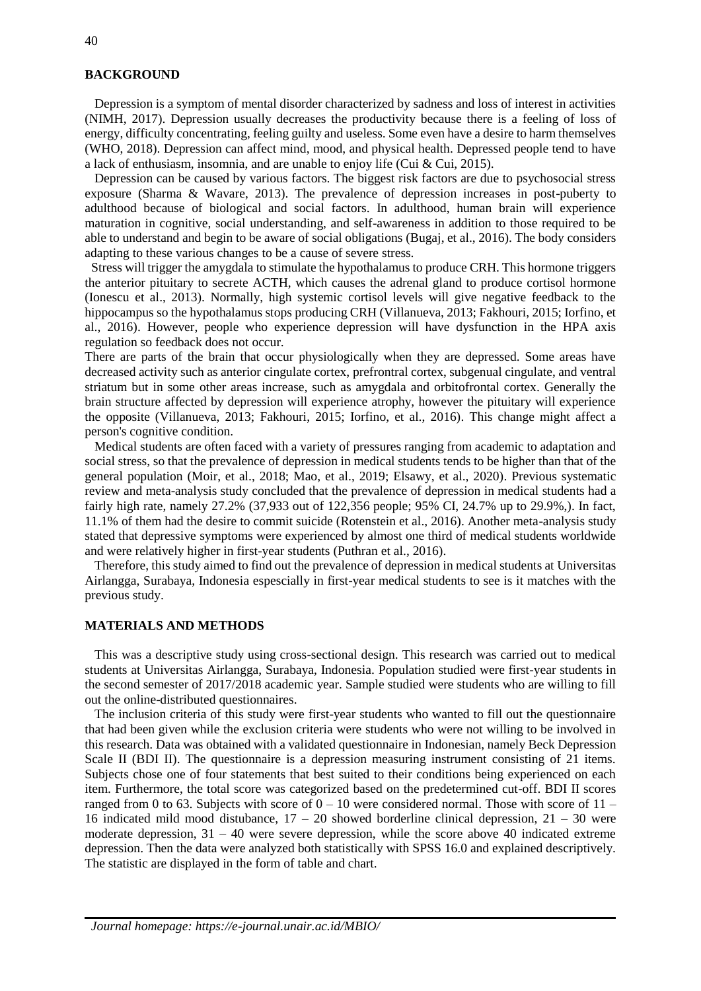## **BACKGROUND**

 Depression is a symptom of mental disorder characterized by sadness and loss of interest in activities (NIMH, 2017). Depression usually decreases the productivity because there is a feeling of loss of energy, difficulty concentrating, feeling guilty and useless. Some even have a desire to harm themselves (WHO, 2018). Depression can affect mind, mood, and physical health. Depressed people tend to have a lack of enthusiasm, insomnia, and are unable to enjoy life (Cui & Cui, 2015).

 Depression can be caused by various factors. The biggest risk factors are due to psychosocial stress exposure (Sharma & Wavare, 2013). The prevalence of depression increases in post-puberty to adulthood because of biological and social factors. In adulthood, human brain will experience maturation in cognitive, social understanding, and self-awareness in addition to those required to be able to understand and begin to be aware of social obligations (Bugaj, et al., 2016). The body considers adapting to these various changes to be a cause of severe stress.

 Stress will trigger the amygdala to stimulate the hypothalamus to produce CRH. This hormone triggers the anterior pituitary to secrete ACTH, which causes the adrenal gland to produce cortisol hormone (Ionescu et al., 2013). Normally, high systemic cortisol levels will give negative feedback to the hippocampus so the hypothalamus stops producing CRH (Villanueva, 2013; Fakhouri, 2015; Iorfino, et al., 2016). However, people who experience depression will have dysfunction in the HPA axis regulation so feedback does not occur.

There are parts of the brain that occur physiologically when they are depressed. Some areas have decreased activity such as anterior cingulate cortex, prefrontral cortex, subgenual cingulate, and ventral striatum but in some other areas increase, such as amygdala and orbitofrontal cortex. Generally the brain structure affected by depression will experience atrophy, however the pituitary will experience the opposite (Villanueva, 2013; Fakhouri, 2015; Iorfino, et al., 2016). This change might affect a person's cognitive condition.

 Medical students are often faced with a variety of pressures ranging from academic to adaptation and social stress, so that the prevalence of depression in medical students tends to be higher than that of the general population (Moir, et al., 2018; Mao, et al., 2019; Elsawy, et al., 2020). Previous systematic review and meta-analysis study concluded that the prevalence of depression in medical students had a fairly high rate, namely 27.2% (37,933 out of 122,356 people; 95% CI, 24.7% up to 29.9%,). In fact, 11.1% of them had the desire to commit suicide (Rotenstein et al., 2016). Another meta-analysis study stated that depressive symptoms were experienced by almost one third of medical students worldwide and were relatively higher in first-year students (Puthran et al., 2016).

 Therefore, this study aimed to find out the prevalence of depression in medical students at Universitas Airlangga, Surabaya, Indonesia espescially in first-year medical students to see is it matches with the previous study.

#### **MATERIALS AND METHODS**

 This was a descriptive study using cross-sectional design. This research was carried out to medical students at Universitas Airlangga, Surabaya, Indonesia. Population studied were first-year students in the second semester of 2017/2018 academic year. Sample studied were students who are willing to fill out the online-distributed questionnaires.

 The inclusion criteria of this study were first-year students who wanted to fill out the questionnaire that had been given while the exclusion criteria were students who were not willing to be involved in this research. Data was obtained with a validated questionnaire in Indonesian, namely Beck Depression Scale II (BDI II). The questionnaire is a depression measuring instrument consisting of 21 items. Subjects chose one of four statements that best suited to their conditions being experienced on each item. Furthermore, the total score was categorized based on the predetermined cut-off. BDI II scores ranged from 0 to 63. Subjects with score of  $0 - 10$  were considered normal. Those with score of  $11 -$ 16 indicated mild mood distubance,  $17 - 20$  showed borderline clinical depression,  $21 - 30$  were moderate depression,  $31 - 40$  were severe depression, while the score above 40 indicated extreme depression. Then the data were analyzed both statistically with SPSS 16.0 and explained descriptively. The statistic are displayed in the form of table and chart.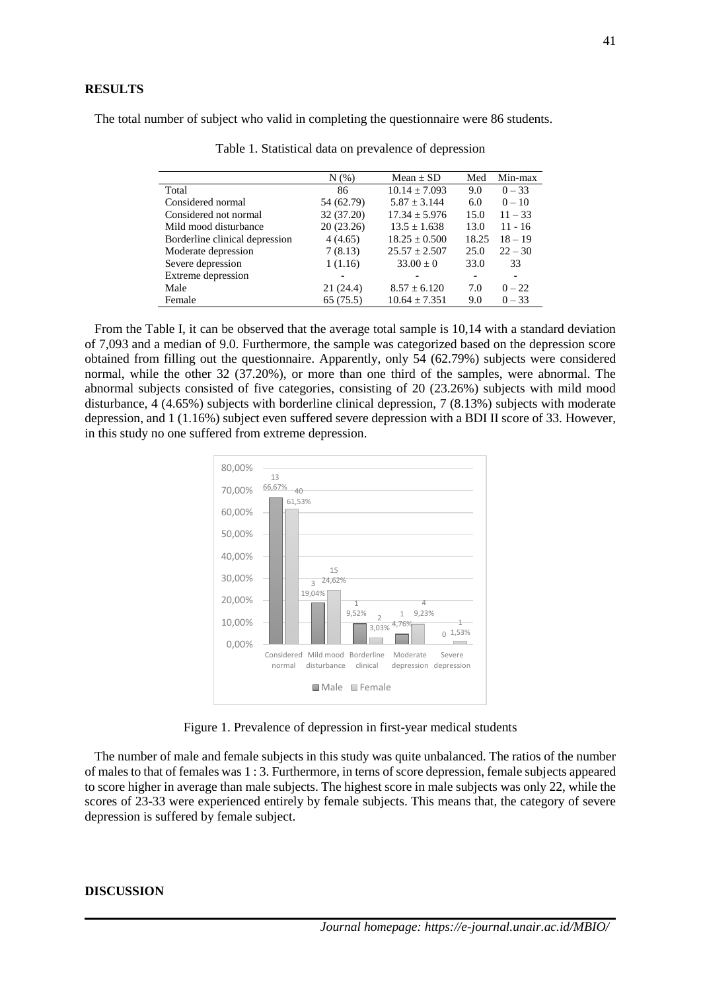The total number of subject who valid in completing the questionnaire were 86 students.

|                                | N(% )      | Mean $\pm$ SD     | Med   | Min-max   |
|--------------------------------|------------|-------------------|-------|-----------|
| Total                          | 86         | $10.14 \pm 7.093$ | 9.0   | $0 - 33$  |
| Considered normal              | 54 (62.79) | $5.87 \pm 3.144$  | 6.0   | $0 - 10$  |
| Considered not normal          | 32 (37.20) | $17.34 \pm 5.976$ | 15.0  | $11 - 33$ |
| Mild mood disturbance          | 20(23.26)  | $13.5 \pm 1.638$  | 13.0  | $11 - 16$ |
| Borderline clinical depression | 4(4.65)    | $18.25 \pm 0.500$ | 18.25 | $18 - 19$ |
| Moderate depression            | 7(8.13)    | $25.57 \pm 2.507$ | 25.0  | $22 - 30$ |
| Severe depression              | 1(1.16)    | $33.00 \pm 0$     | 33.0  | 33        |
| Extreme depression             |            |                   |       |           |
| Male                           | 21 (24.4)  | $8.57 \pm 6.120$  | 7.0   | $0 - 22$  |
| Female                         | 65(75.5)   | $10.64 \pm 7.351$ | 9.0   | $0 - 33$  |

Table 1. Statistical data on prevalence of depression

 From the Table I, it can be observed that the average total sample is 10,14 with a standard deviation of 7,093 and a median of 9.0. Furthermore, the sample was categorized based on the depression score obtained from filling out the questionnaire. Apparently, only 54 (62.79%) subjects were considered normal, while the other 32 (37.20%), or more than one third of the samples, were abnormal. The abnormal subjects consisted of five categories, consisting of 20 (23.26%) subjects with mild mood disturbance, 4 (4.65%) subjects with borderline clinical depression, 7 (8.13%) subjects with moderate depression, and 1 (1.16%) subject even suffered severe depression with a BDI II score of 33. However, in this study no one suffered from extreme depression.



Figure 1. Prevalence of depression in first-year medical students

 The number of male and female subjects in this study was quite unbalanced. The ratios of the number of males to that of females was 1 : 3. Furthermore, in terns of score depression, female subjects appeared to score higher in average than male subjects. The highest score in male subjects was only 22, while the scores of 23-33 were experienced entirely by female subjects. This means that, the category of severe depression is suffered by female subject.

#### **DISCUSSION**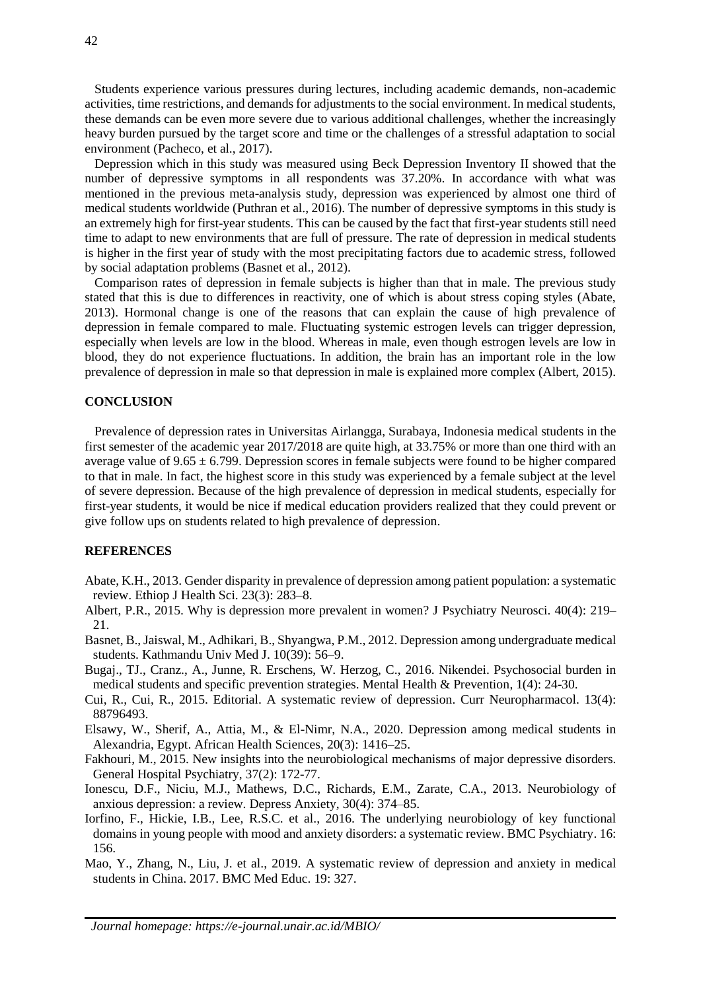Students experience various pressures during lectures, including academic demands, non-academic activities, time restrictions, and demands for adjustments to the social environment. In medical students, these demands can be even more severe due to various additional challenges, whether the increasingly heavy burden pursued by the target score and time or the challenges of a stressful adaptation to social environment (Pacheco, et al., 2017).

 Depression which in this study was measured using Beck Depression Inventory II showed that the number of depressive symptoms in all respondents was 37.20%. In accordance with what was mentioned in the previous meta-analysis study, depression was experienced by almost one third of medical students worldwide (Puthran et al., 2016). The number of depressive symptoms in this study is an extremely high for first-year students. This can be caused by the fact that first-year students still need time to adapt to new environments that are full of pressure. The rate of depression in medical students is higher in the first year of study with the most precipitating factors due to academic stress, followed by social adaptation problems (Basnet et al., 2012).

 Comparison rates of depression in female subjects is higher than that in male. The previous study stated that this is due to differences in reactivity, one of which is about stress coping styles (Abate, 2013). Hormonal change is one of the reasons that can explain the cause of high prevalence of depression in female compared to male. Fluctuating systemic estrogen levels can trigger depression, especially when levels are low in the blood. Whereas in male, even though estrogen levels are low in blood, they do not experience fluctuations. In addition, the brain has an important role in the low prevalence of depression in male so that depression in male is explained more complex (Albert, 2015).

#### **CONCLUSION**

 Prevalence of depression rates in Universitas Airlangga, Surabaya, Indonesia medical students in the first semester of the academic year 2017/2018 are quite high, at 33.75% or more than one third with an average value of  $9.65 \pm 6.799$ . Depression scores in female subjects were found to be higher compared to that in male. In fact, the highest score in this study was experienced by a female subject at the level of severe depression. Because of the high prevalence of depression in medical students, especially for first-year students, it would be nice if medical education providers realized that they could prevent or give follow ups on students related to high prevalence of depression.

## **REFERENCES**

- Abate, K.H., 2013. Gender disparity in prevalence of depression among patient population: a systematic review. Ethiop J Health Sci. 23(3): 283–8.
- Albert, P.R., 2015. Why is depression more prevalent in women? J Psychiatry Neurosci. 40(4): 219– 21.
- Basnet, B., Jaiswal, M., Adhikari, B., Shyangwa, P.M., 2012. Depression among undergraduate medical students. Kathmandu Univ Med J. 10(39): 56–9.
- Bugaj., TJ., Cranz., A., Junne, R. Erschens, W. Herzog, C., 2016. Nikendei. Psychosocial burden in medical students and specific prevention strategies. Mental Health & Prevention, 1(4): 24-30.
- Cui, R., Cui, R., 2015. Editorial. A systematic review of depression. Curr Neuropharmacol. 13(4): 88796493.
- Elsawy, W., Sherif, A., Attia, M., & El-Nimr, N.A., 2020. Depression among medical students in Alexandria, Egypt. African Health Sciences, 20(3): 1416–25.
- Fakhouri, M., 2015. New insights into the neurobiological mechanisms of major depressive disorders. General Hospital Psychiatry, 37(2): 172-77.
- Ionescu, D.F., Niciu, M.J., Mathews, D.C., Richards, E.M., Zarate, C.A., 2013. Neurobiology of anxious depression: a review. Depress Anxiety, 30(4): 374–85.
- Iorfino, F., Hickie, I.B., Lee, R.S.C. et al., 2016. The underlying neurobiology of key functional domains in young people with mood and anxiety disorders: a systematic review. BMC Psychiatry. 16: 156.
- Mao, Y., Zhang, N., Liu, J. et al., 2019. A systematic review of depression and anxiety in medical students in China. 2017. BMC Med Educ. 19: 327.